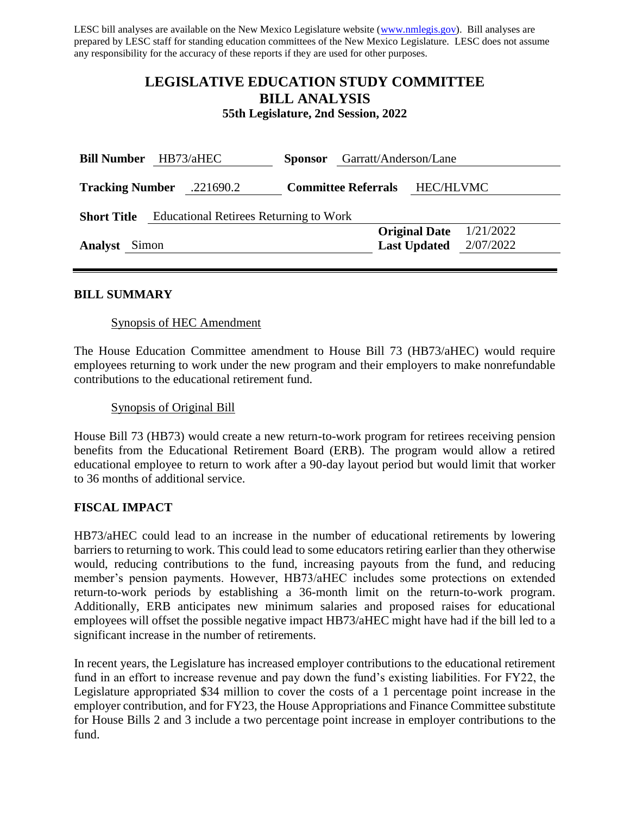LESC bill analyses are available on the New Mexico Legislature website [\(www.nmlegis.gov\)](http://www.nmlegis.gov/). Bill analyses are prepared by LESC staff for standing education committees of the New Mexico Legislature. LESC does not assume any responsibility for the accuracy of these reports if they are used for other purposes.

# **LEGISLATIVE EDUCATION STUDY COMMITTEE BILL ANALYSIS**

**55th Legislature, 2nd Session, 2022**

| <b>Bill Number</b>                                                  | HB73/aHEC | <b>Sponsor</b>             | Garratt/Anderson/Lane             |  |
|---------------------------------------------------------------------|-----------|----------------------------|-----------------------------------|--|
| <b>Tracking Number</b>                                              | .221690.2 | <b>Committee Referrals</b> | <b>HEC/HLVMC</b>                  |  |
| <b>Educational Retirees Returning to Work</b><br><b>Short Title</b> |           |                            |                                   |  |
|                                                                     |           |                            | 1/21/2022<br><b>Original Date</b> |  |
| <b>Analyst</b><br>Simon                                             |           |                            | 2/07/2022<br><b>Last Updated</b>  |  |
|                                                                     |           |                            |                                   |  |

# **BILL SUMMARY**

# Synopsis of HEC Amendment

The House Education Committee amendment to House Bill 73 (HB73/aHEC) would require employees returning to work under the new program and their employers to make nonrefundable contributions to the educational retirement fund.

#### Synopsis of Original Bill

House Bill 73 (HB73) would create a new return-to-work program for retirees receiving pension benefits from the Educational Retirement Board (ERB). The program would allow a retired educational employee to return to work after a 90-day layout period but would limit that worker to 36 months of additional service.

# **FISCAL IMPACT**

HB73/aHEC could lead to an increase in the number of educational retirements by lowering barriers to returning to work. This could lead to some educators retiring earlier than they otherwise would, reducing contributions to the fund, increasing payouts from the fund, and reducing member's pension payments. However, HB73/aHEC includes some protections on extended return-to-work periods by establishing a 36-month limit on the return-to-work program. Additionally, ERB anticipates new minimum salaries and proposed raises for educational employees will offset the possible negative impact HB73/aHEC might have had if the bill led to a significant increase in the number of retirements.

In recent years, the Legislature has increased employer contributions to the educational retirement fund in an effort to increase revenue and pay down the fund's existing liabilities. For FY22, the Legislature appropriated \$34 million to cover the costs of a 1 percentage point increase in the employer contribution, and for FY23, the House Appropriations and Finance Committee substitute for House Bills 2 and 3 include a two percentage point increase in employer contributions to the fund.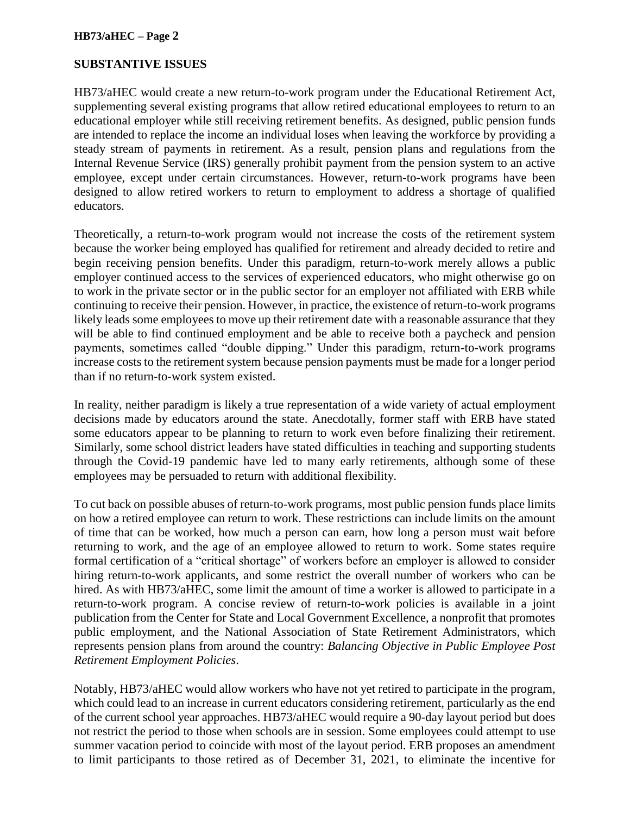# **HB73/aHEC – Page 2**

#### **SUBSTANTIVE ISSUES**

HB73/aHEC would create a new return-to-work program under the Educational Retirement Act, supplementing several existing programs that allow retired educational employees to return to an educational employer while still receiving retirement benefits. As designed, public pension funds are intended to replace the income an individual loses when leaving the workforce by providing a steady stream of payments in retirement. As a result, pension plans and regulations from the Internal Revenue Service (IRS) generally prohibit payment from the pension system to an active employee, except under certain circumstances. However, return-to-work programs have been designed to allow retired workers to return to employment to address a shortage of qualified educators.

Theoretically, a return-to-work program would not increase the costs of the retirement system because the worker being employed has qualified for retirement and already decided to retire and begin receiving pension benefits. Under this paradigm, return-to-work merely allows a public employer continued access to the services of experienced educators, who might otherwise go on to work in the private sector or in the public sector for an employer not affiliated with ERB while continuing to receive their pension. However, in practice, the existence of return-to-work programs likely leads some employees to move up their retirement date with a reasonable assurance that they will be able to find continued employment and be able to receive both a paycheck and pension payments, sometimes called "double dipping." Under this paradigm, return-to-work programs increase costs to the retirement system because pension payments must be made for a longer period than if no return-to-work system existed.

In reality, neither paradigm is likely a true representation of a wide variety of actual employment decisions made by educators around the state. Anecdotally, former staff with ERB have stated some educators appear to be planning to return to work even before finalizing their retirement. Similarly, some school district leaders have stated difficulties in teaching and supporting students through the Covid-19 pandemic have led to many early retirements, although some of these employees may be persuaded to return with additional flexibility.

To cut back on possible abuses of return-to-work programs, most public pension funds place limits on how a retired employee can return to work. These restrictions can include limits on the amount of time that can be worked, how much a person can earn, how long a person must wait before returning to work, and the age of an employee allowed to return to work. Some states require formal certification of a "critical shortage" of workers before an employer is allowed to consider hiring return-to-work applicants, and some restrict the overall number of workers who can be hired. As with HB73/aHEC, some limit the amount of time a worker is allowed to participate in a return-to-work program. A concise review of return-to-work policies is available in a joint publication from the Center for State and Local Government Excellence, a nonprofit that promotes public employment, and the National Association of State Retirement Administrators, which represents pension plans from around the country: *Balancing Objective in Public Employee Post Retirement Employment Policies*.

Notably, HB73/aHEC would allow workers who have not yet retired to participate in the program, which could lead to an increase in current educators considering retirement, particularly as the end of the current school year approaches. HB73/aHEC would require a 90-day layout period but does not restrict the period to those when schools are in session. Some employees could attempt to use summer vacation period to coincide with most of the layout period. ERB proposes an amendment to limit participants to those retired as of December 31, 2021, to eliminate the incentive for